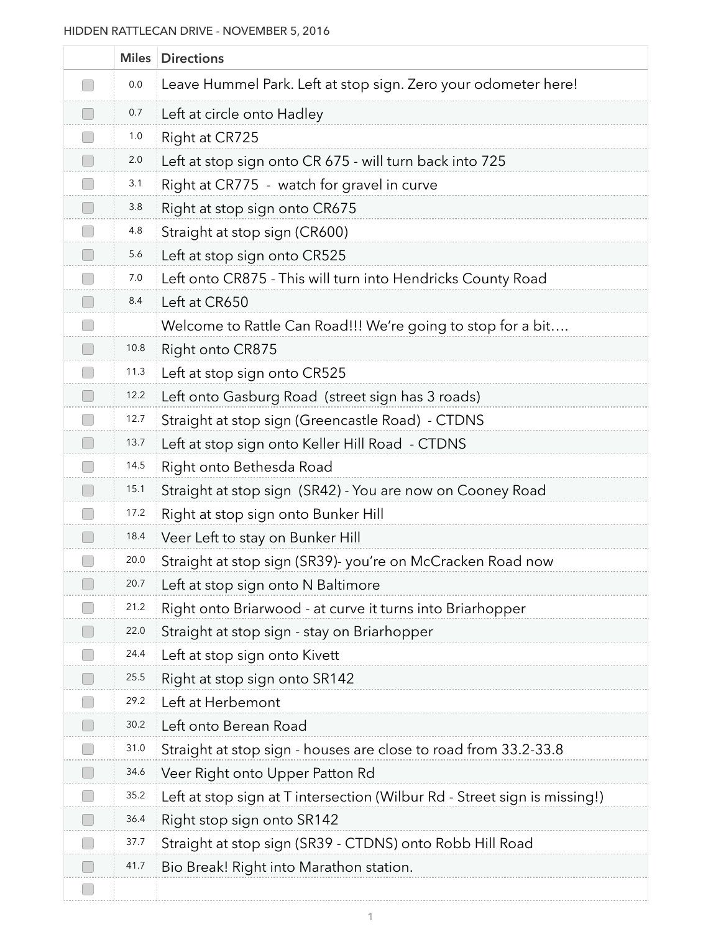## HIDDEN RATTLECAN DRIVE - NOVEMBER 5, 2016

| <b>Miles</b> | <b>Directions</b>                                                         |
|--------------|---------------------------------------------------------------------------|
| 0.0          | Leave Hummel Park. Left at stop sign. Zero your odometer here!            |
| 0.7          | Left at circle onto Hadley                                                |
| 1.0          | Right at CR725                                                            |
| 2.0          | Left at stop sign onto CR 675 - will turn back into 725                   |
| 3.1          | Right at CR775 - watch for gravel in curve                                |
| 3.8          | Right at stop sign onto CR675                                             |
| 4.8          | Straight at stop sign (CR600)                                             |
| 5.6          | Left at stop sign onto CR525                                              |
| 7.0          | Left onto CR875 - This will turn into Hendricks County Road               |
| 8.4          | Left at CR650                                                             |
|              | Welcome to Rattle Can Road!!! We're going to stop for a bit               |
| 10.8         | Right onto CR875                                                          |
| 11.3         | Left at stop sign onto CR525                                              |
| 12.2         | Left onto Gasburg Road (street sign has 3 roads)                          |
| 12.7         | Straight at stop sign (Greencastle Road) - CTDNS                          |
| 13.7         | Left at stop sign onto Keller Hill Road - CTDNS                           |
| 14.5         | Right onto Bethesda Road                                                  |
| 15.1         | Straight at stop sign (SR42) - You are now on Cooney Road                 |
| 17.2         | Right at stop sign onto Bunker Hill                                       |
| 18.4         | Veer Left to stay on Bunker Hill                                          |
| 20.0         | Straight at stop sign (SR39)- you're on McCracken Road now                |
| 20.7         | Left at stop sign onto N Baltimore                                        |
| 21.2         | Right onto Briarwood - at curve it turns into Briarhopper                 |
| 22.0         | Straight at stop sign - stay on Briarhopper                               |
| 24.4         | Left at stop sign onto Kivett                                             |
| 25.5         | Right at stop sign onto SR142                                             |
| 29.2         | Left at Herbemont                                                         |
| 30.2         | Left onto Berean Road                                                     |
| 31.0         | Straight at stop sign - houses are close to road from 33.2-33.8           |
| 34.6         | Veer Right onto Upper Patton Rd                                           |
| 35.2         | Left at stop sign at T intersection (Wilbur Rd - Street sign is missing!) |
| 36.4         | Right stop sign onto SR142                                                |
| 37.7         | Straight at stop sign (SR39 - CTDNS) onto Robb Hill Road                  |
| 41.7         | Bio Break! Right into Marathon station.                                   |
|              |                                                                           |